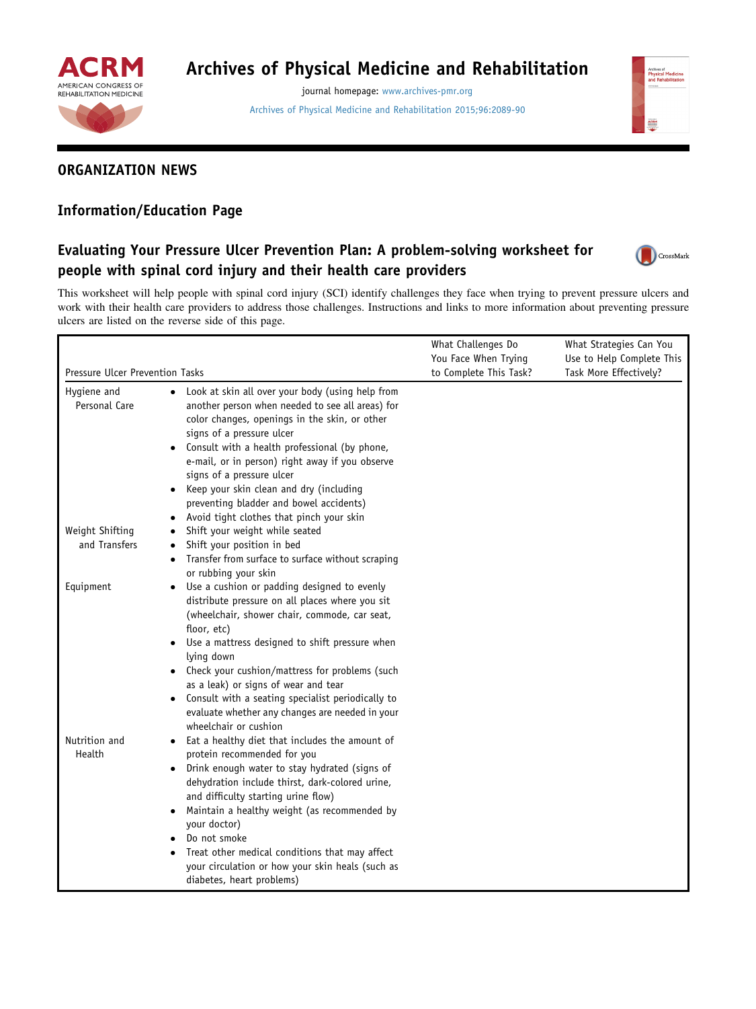

# Archives of Physical Medicine and Rehabilitation

journal homepage: [www.archives-pmr.org](http://www.archives-pmr.org)

[Archives of Physical Medicine and Rehabilitation 2015;96:2089-90](http://dx.doi.org/10.1016/j.apmr.2015.03.001)



# ORGANIZATION NEWS

# Information/Education Page

# Evaluating Your Pressure Ulcer Prevention Plan: A problem-solving worksheet for people with spinal cord injury and their health care providers



This worksheet will help people with spinal cord injury (SCI) identify challenges they face when trying to prevent pressure ulcers and work with their health care providers to address those challenges. Instructions and links to more information about preventing pressure ulcers are listed on the reverse side of this page.

| Pressure Ulcer Prevention Tasks |                                                                                                                                                                                                                                                                                                                                                                                                                                                                                         | What Challenges Do<br>You Face When Trying<br>to Complete This Task? | What Strategies Can You<br>Use to Help Complete This<br>Task More Effectively? |
|---------------------------------|-----------------------------------------------------------------------------------------------------------------------------------------------------------------------------------------------------------------------------------------------------------------------------------------------------------------------------------------------------------------------------------------------------------------------------------------------------------------------------------------|----------------------------------------------------------------------|--------------------------------------------------------------------------------|
|                                 |                                                                                                                                                                                                                                                                                                                                                                                                                                                                                         |                                                                      |                                                                                |
| Weight Shifting                 | Shift your weight while seated                                                                                                                                                                                                                                                                                                                                                                                                                                                          |                                                                      |                                                                                |
| and Transfers                   | Shift your position in bed<br>Transfer from surface to surface without scraping<br>$\bullet$<br>or rubbing your skin                                                                                                                                                                                                                                                                                                                                                                    |                                                                      |                                                                                |
| Equipment                       | Use a cushion or padding designed to evenly<br>$\bullet$<br>distribute pressure on all places where you sit<br>(wheelchair, shower chair, commode, car seat,<br>floor, etc)<br>Use a mattress designed to shift pressure when<br>$\bullet$<br>lying down<br>Check your cushion/mattress for problems (such<br>as a leak) or signs of wear and tear<br>Consult with a seating specialist periodically to<br>evaluate whether any changes are needed in your<br>wheelchair or cushion     |                                                                      |                                                                                |
| Nutrition and<br>Health         | Eat a healthy diet that includes the amount of<br>$\bullet$<br>protein recommended for you<br>Drink enough water to stay hydrated (signs of<br>$\bullet$<br>dehydration include thirst, dark-colored urine,<br>and difficulty starting urine flow)<br>Maintain a healthy weight (as recommended by<br>٠<br>your doctor)<br>Do not smoke<br>Treat other medical conditions that may affect<br>$\bullet$<br>your circulation or how your skin heals (such as<br>diabetes, heart problems) |                                                                      |                                                                                |